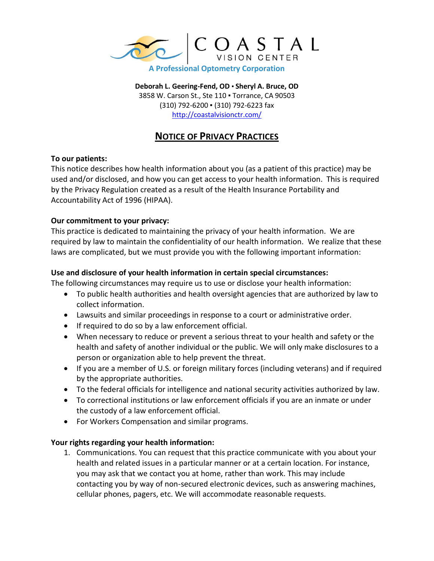

**Deborah L. Geering-Fend, OD** ▪ **Sheryl A. Bruce, OD** 3858 W. Carson St., Ste 110 ▪ Torrance, CA 90503 (310) 792-6200 ▪ (310) 792-6223 fax <http://coastalvisionctr.com/>

# **NOTICE OF PRIVACY PRACTICES**

## **To our patients:**

This notice describes how health information about you (as a patient of this practice) may be used and/or disclosed, and how you can get access to your health information. This is required by the Privacy Regulation created as a result of the Health Insurance Portability and Accountability Act of 1996 (HIPAA).

### **Our commitment to your privacy:**

This practice is dedicated to maintaining the privacy of your health information. We are required by law to maintain the confidentiality of our health information. We realize that these laws are complicated, but we must provide you with the following important information:

### **Use and disclosure of your health information in certain special circumstances:**

The following circumstances may require us to use or disclose your health information:

- To public health authorities and health oversight agencies that are authorized by law to collect information.
- Lawsuits and similar proceedings in response to a court or administrative order.
- If required to do so by a law enforcement official.
- When necessary to reduce or prevent a serious threat to your health and safety or the health and safety of another individual or the public. We will only make disclosures to a person or organization able to help prevent the threat.
- If you are a member of U.S. or foreign military forces (including veterans) and if required by the appropriate authorities.
- To the federal officials for intelligence and national security activities authorized by law.
- To correctional institutions or law enforcement officials if you are an inmate or under the custody of a law enforcement official.
- For Workers Compensation and similar programs.

#### **Your rights regarding your health information:**

1. Communications. You can request that this practice communicate with you about your health and related issues in a particular manner or at a certain location. For instance, you may ask that we contact you at home, rather than work. This may include contacting you by way of non-secured electronic devices, such as answering machines, cellular phones, pagers, etc. We will accommodate reasonable requests.